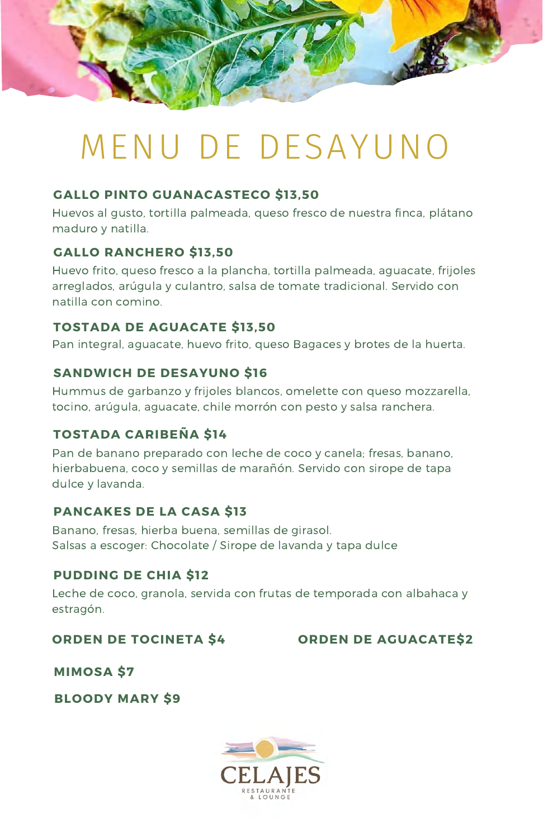### **SANDWICH DE DESAYUNO \$16**

Hummus de garbanzo y frijoles blancos, omelette con queso mozzarella, tocino, arúgula, aguacate, chile morrón con pesto y salsa ranchera.

### **TOSTADA DE AGUACATE \$13,50**

Pan integral, aguacate, huevo frito, queso Bagaces y brotes de la huerta.

### **GALLO PINTO GUANACASTECO \$13,50**

Huevos al gusto, tortilla palmeada, queso fresco de nuestra finca, plátano maduro y natilla.

### **GALLO RANCHERO \$13,50**

Huevo frito, queso fresco a la plancha, tortilla palmeada, aguacate, frijoles arreglados, arúgula y culantro, salsa de tomate tradicional. Servido con natilla con comino.

### **TOSTADA CARIBEÑA \$14**

Pan de banano preparado con leche de coco y canela; fresas, banano, hierbabuena, coco y semillas de marañón. Servido con sirope de tapa dulce y lavanda.

### **PANCAKES DE LA CASA \$13**

Banano, fresas, hierba buena, semillas de girasol. Salsas a escoger: Chocolate / Sirope de lavanda y tapa dulce

### **PUDDING DE CHIA \$12**

Leche de coco, granola, servida con frutas de temporada con albahaca y estragón.



# MENU DE DESAYUNO

### **ORDEN DE TOCINETA \$4 ORDEN DE AGUACATE\$2**

### **MIMOSA \$7**

### **BLOODY MARY \$9**